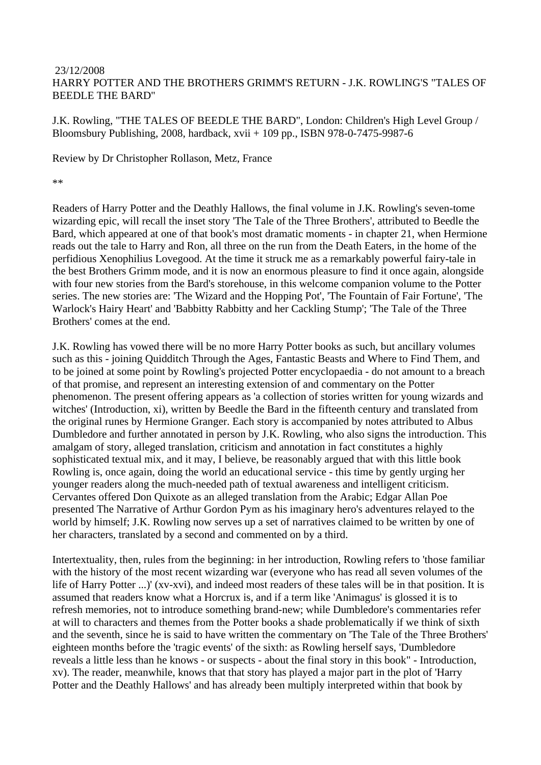## 23/12/2008 HARRY POTTER AND THE BROTHERS GRIMM'S RETURN - J.K. ROWLING'S "TALES OF BEEDLE THE BARD"

J.K. Rowling, "THE TALES OF BEEDLE THE BARD", London: Children's High Level Group / Bloomsbury Publishing, 2008, hardback, xvii + 109 pp., ISBN 978-0-7475-9987-6

Review by Dr Christopher Rollason, Metz, France

\*\*

Readers of Harry Potter and the Deathly Hallows, the final volume in J.K. Rowling's seven-tome wizarding epic, will recall the inset story 'The Tale of the Three Brothers', attributed to Beedle the Bard, which appeared at one of that book's most dramatic moments - in chapter 21, when Hermione reads out the tale to Harry and Ron, all three on the run from the Death Eaters, in the home of the perfidious Xenophilius Lovegood. At the time it struck me as a remarkably powerful fairy-tale in the best Brothers Grimm mode, and it is now an enormous pleasure to find it once again, alongside with four new stories from the Bard's storehouse, in this welcome companion volume to the Potter series. The new stories are: 'The Wizard and the Hopping Pot', 'The Fountain of Fair Fortune', 'The Warlock's Hairy Heart' and 'Babbitty Rabbitty and her Cackling Stump'; 'The Tale of the Three Brothers' comes at the end.

J.K. Rowling has vowed there will be no more Harry Potter books as such, but ancillary volumes such as this - joining Quidditch Through the Ages, Fantastic Beasts and Where to Find Them, and to be joined at some point by Rowling's projected Potter encyclopaedia - do not amount to a breach of that promise, and represent an interesting extension of and commentary on the Potter phenomenon. The present offering appears as 'a collection of stories written for young wizards and witches' (Introduction, xi), written by Beedle the Bard in the fifteenth century and translated from the original runes by Hermione Granger. Each story is accompanied by notes attributed to Albus Dumbledore and further annotated in person by J.K. Rowling, who also signs the introduction. This amalgam of story, alleged translation, criticism and annotation in fact constitutes a highly sophisticated textual mix, and it may, I believe, be reasonably argued that with this little book Rowling is, once again, doing the world an educational service - this time by gently urging her younger readers along the much-needed path of textual awareness and intelligent criticism. Cervantes offered Don Quixote as an alleged translation from the Arabic; Edgar Allan Poe presented The Narrative of Arthur Gordon Pym as his imaginary hero's adventures relayed to the world by himself; J.K. Rowling now serves up a set of narratives claimed to be written by one of her characters, translated by a second and commented on by a third.

Intertextuality, then, rules from the beginning: in her introduction, Rowling refers to 'those familiar with the history of the most recent wizarding war (everyone who has read all seven volumes of the life of Harry Potter ...)' (xv-xvi), and indeed most readers of these tales will be in that position. It is assumed that readers know what a Horcrux is, and if a term like 'Animagus' is glossed it is to refresh memories, not to introduce something brand-new; while Dumbledore's commentaries refer at will to characters and themes from the Potter books a shade problematically if we think of sixth and the seventh, since he is said to have written the commentary on 'The Tale of the Three Brothers' eighteen months before the 'tragic events' of the sixth: as Rowling herself says, 'Dumbledore reveals a little less than he knows - or suspects - about the final story in this book" - Introduction, xv). The reader, meanwhile, knows that that story has played a major part in the plot of 'Harry Potter and the Deathly Hallows' and has already been multiply interpreted within that book by